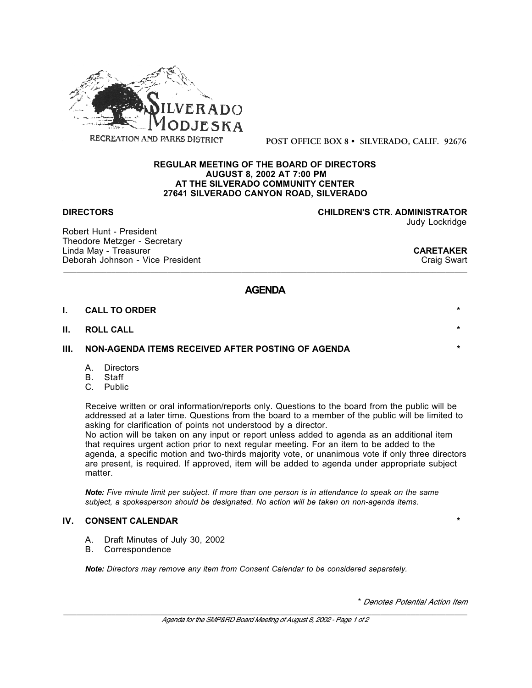

**POST OFFICE BOX 8 • SILVERADO, CALIF. 92676**

### **REGULAR MEETING OF THE BOARD OF DIRECTORS AUGUST 8, 2002 AT 7:00 PM AT THE SILVERADO COMMUNITY CENTER 27641 SILVERADO CANYON ROAD, SILVERADO**

**DIRECTORS CHILDREN'S CTR. ADMINISTRATOR** Judy Lockridge

Robert Hunt - President Theodore Metzger - Secretary Linda May - Treasurer **CARETAKER** Deborah Johnson - Vice President

\_\_\_\_\_\_\_\_\_\_\_\_\_\_\_\_\_\_\_\_\_\_\_\_\_\_\_\_\_\_\_\_\_\_\_\_\_\_\_\_\_\_\_\_\_\_\_\_\_\_\_\_\_\_\_\_\_\_\_\_\_\_\_\_\_\_\_\_\_\_\_\_\_\_\_\_\_\_\_\_\_\_\_\_\_\_\_\_\_\_\_\_\_

# **AGENDA**

### **I. CALL TO ORDER \***

### **II. ROLL CALL \***

## **III. NON-AGENDA ITEMS RECEIVED AFTER POSTING OF AGENDA**

- A. Directors<br>B. Staff
- **Staff**
- C. Public

Receive written or oral information/reports only. Questions to the board from the public will be addressed at a later time. Questions from the board to a member of the public will be limited to asking for clarification of points not understood by a director.

No action will be taken on any input or report unless added to agenda as an additional item that requires urgent action prior to next regular meeting. For an item to be added to the agenda, a specific motion and two-thirds majority vote, or unanimous vote if only three directors are present, is required. If approved, item will be added to agenda under appropriate subject matter.

*Note: Five minute limit per subject. If more than one person is in attendance to speak on the same subject, a spokesperson should be designated. No action will be taken on non-agenda items.*

## **IV. CONSENT CALENDAR \***

- A. Draft Minutes of July 30, 2002
- B. Correspondence

*Note: Directors may remove any item from Consent Calendar to be considered separately.*

\* *Denotes Potential Action Item*

\_\_\_\_\_\_\_\_\_\_\_\_\_\_\_\_\_\_\_\_\_\_\_\_\_\_\_\_\_\_\_\_\_\_\_\_\_\_\_\_\_\_\_\_\_\_\_\_\_\_\_\_\_\_\_\_\_\_\_\_\_\_\_\_\_\_\_\_\_\_\_\_\_\_\_\_\_\_\_\_\_\_\_\_\_\_\_\_\_\_\_\_\_ *Agenda for the SMP&RD Board Meeting of August 8, 2002 - Page 1 of 2*